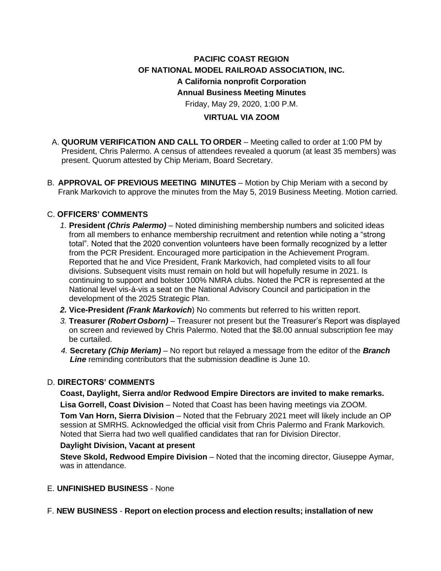# **PACIFIC COAST REGION OF NATIONAL MODEL RAILROAD ASSOCIATION, INC. A California nonprofit Corporation Annual Business Meeting Minutes** Friday, May 29, 2020, 1:00 P.M.

### **VIRTUAL VIA ZOOM**

- A. **QUORUM VERIFICATION AND CALL TO ORDER** Meeting called to order at 1:00 PM by President, Chris Palermo. A census of attendees revealed a quorum (at least 35 members) was present. Quorum attested by Chip Meriam, Board Secretary.
- B. **APPROVAL OF PREVIOUS MEETING MINUTES** Motion by Chip Meriam with a second by Frank Markovich to approve the minutes from the May 5, 2019 Business Meeting. Motion carried.

### C. **OFFICERS' COMMENTS**

- *1.* **President** *(Chris Palermo)* Noted diminishing membership numbers and solicited ideas from all members to enhance membership recruitment and retention while noting a "strong total". Noted that the 2020 convention volunteers have been formally recognized by a letter from the PCR President. Encouraged more participation in the Achievement Program. Reported that he and Vice President, Frank Markovich, had completed visits to all four divisions. Subsequent visits must remain on hold but will hopefully resume in 2021. Is continuing to support and bolster 100% NMRA clubs. Noted the PCR is represented at the National level vis-à-vis a seat on the National Advisory Council and participation in the development of the 2025 Strategic Plan.
- *2.* **Vice-President** *(Frank Markovich*) No comments but referred to his written report.
- *3.* **Treasurer** *(Robert Osborn) –* Treasurer not present but the Treasurer's Report was displayed on screen and reviewed by Chris Palermo. Noted that the \$8.00 annual subscription fee may be curtailed.
- *4.* **Secretary** *(Chip Meriam) –* No report but relayed a message from the editor of the *Branch Line* reminding contributors that the submission deadline is June 10.

#### D. **DIRECTORS' COMMENTS**

**Coast, Daylight, Sierra and/or Redwood Empire Directors are invited to make remarks.**

**Lisa Gorrell, Coast Division** – Noted that Coast has been having meetings via ZOOM. **Tom Van Horn, Sierra Division** – Noted that the February 2021 meet will likely include an OP session at SMRHS. Acknowledged the official visit from Chris Palermo and Frank Markovich. Noted that Sierra had two well qualified candidates that ran for Division Director.

#### **Daylight Division, Vacant at present**

**Steve Skold, Redwood Empire Division** – Noted that the incoming director, Giuseppe Aymar, was in attendance.

- E. **UNFINISHED BUSINESS** None
- F. **NEW BUSINESS Report on election process and election results; installation of new**